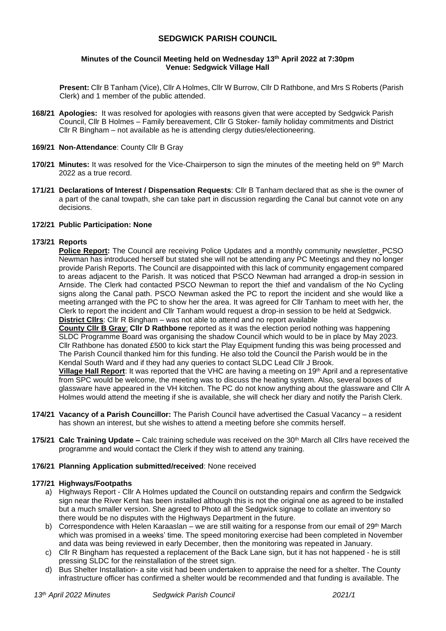# **SEDGWICK PARISH COUNCIL**

### **Minutes of the Council Meeting held on Wednesday 13th April 2022 at 7:30pm Venue: Sedgwick Village Hall**

**Present:** Cllr B Tanham (Vice), Cllr A Holmes, Cllr W Burrow, Cllr D Rathbone, and Mrs S Roberts (Parish Clerk) and 1 member of the public attended.

- **168/21 Apologies:** It was resolved for apologies with reasons given that were accepted by Sedgwick Parish Council, Cllr B Holmes – Family bereavement, Cllr G Stoker- family holiday commitments and District Cllr R Bingham – not available as he is attending clergy duties/electioneering.
- **169/21 Non-Attendance**: County Cllr B Gray
- **170/21 Minutes:** It was resolved for the Vice-Chairperson to sign the minutes of the meeting held on 9<sup>th</sup> March 2022 as a true record.
- **171/21 Declarations of Interest / Dispensation Requests**: Cllr B Tanham declared that as she is the owner of a part of the canal towpath, she can take part in discussion regarding the Canal but cannot vote on any decisions.

### **172/21 Public Participation: None**

### **173/21 Reports**

**Police Report:** The Council are receiving Police Updates and a monthly community newsletter. PCSO Newman has introduced herself but stated she will not be attending any PC Meetings and they no longer provide Parish Reports. The Council are disappointed with this lack of community engagement compared to areas adjacent to the Parish. It was noticed that PSCO Newman had arranged a drop-in session in Arnside. The Clerk had contacted PSCO Newman to report the thief and vandalism of the No Cycling signs along the Canal path. PSCO Newman asked the PC to report the incident and she would like a meeting arranged with the PC to show her the area. It was agreed for Cllr Tanham to meet with her, the Clerk to report the incident and Cllr Tanham would request a drop-in session to be held at Sedgwick. **District Cllrs**: Cllr R Bingham – was not able to attend and no report available

**County Cllr B Gray**: **Cllr D Rathbone** reported as it was the election period nothing was happening SLDC Programme Board was organising the shadow Council which would to be in place by May 2023. Cllr Rathbone has donated £500 to kick start the Play Equipment funding this was being processed and The Parish Council thanked him for this funding. He also told the Council the Parish would be in the Kendal South Ward and if they had any queries to contact SLDC Lead Cllr J Brook.

**Village Hall Report**: It was reported that the VHC are having a meeting on 19th April and a representative from SPC would be welcome, the meeting was to discuss the heating system. Also, several boxes of glassware have appeared in the VH kitchen. The PC do not know anything about the glassware and Cllr A Holmes would attend the meeting if she is available, she will check her diary and notify the Parish Clerk.

- **174/21 Vacancy of a Parish Councillor:** The Parish Council have advertised the Casual Vacancy a resident has shown an interest, but she wishes to attend a meeting before she commits herself.
- **175/21 Calc Training Update –** Calc training schedule was received on the 30th March all Cllrs have received the programme and would contact the Clerk if they wish to attend any training.

#### **176/21 Planning Application submitted/received**: None received

#### **177/21 Highways/Footpaths**

- a) Highways Report Cllr A Holmes updated the Council on outstanding repairs and confirm the Sedgwick sign near the River Kent has been installed although this is not the original one as agreed to be installed but a much smaller version. She agreed to Photo all the Sedgwick signage to collate an inventory so there would be no disputes with the Highways Department in the future.
- b) Correspondence with Helen Karaaslan we are still waiting for a response from our email of 29th March which was promised in a weeks' time. The speed monitoring exercise had been completed in November and data was being reviewed in early December, then the monitoring was repeated in January.
- c) Cllr R Bingham has requested a replacement of the Back Lane sign, but it has not happened he is still pressing SLDC for the reinstallation of the street sign.
- d) Bus Shelter Installation- a site visit had been undertaken to appraise the need for a shelter. The County infrastructure officer has confirmed a shelter would be recommended and that funding is available. The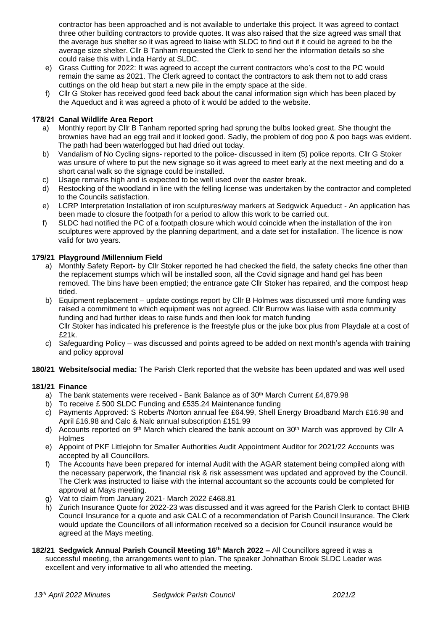contractor has been approached and is not available to undertake this project. It was agreed to contact three other building contractors to provide quotes. It was also raised that the size agreed was small that the average bus shelter so it was agreed to liaise with SLDC to find out if it could be agreed to be the average size shelter. Cllr B Tanham requested the Clerk to send her the information details so she could raise this with Linda Hardy at SLDC.

- e) Grass Cutting for 2022: It was agreed to accept the current contractors who's cost to the PC would remain the same as 2021. The Clerk agreed to contact the contractors to ask them not to add crass cuttings on the old heap but start a new pile in the empty space at the side.
- f) Cllr G Stoker has received good feed back about the canal information sign which has been placed by the Aqueduct and it was agreed a photo of it would be added to the website.

## **178/21 Canal Wildlife Area Report**

- a) Monthly report by Cllr B Tanham reported spring had sprung the bulbs looked great. She thought the brownies have had an egg trail and it looked good. Sadly, the problem of dog poo & poo bags was evident. The path had been waterlogged but had dried out today.
- b) Vandalism of No Cycling signs- reported to the police- discussed in item (5) police reports. Cllr G Stoker was unsure of where to put the new signage so it was agreed to meet early at the next meeting and do a short canal walk so the signage could be installed.
- c) Usage remains high and is expected to be well used over the easter break.
- d) Restocking of the woodland in line with the felling license was undertaken by the contractor and completed to the Councils satisfaction.
- e) LCRP Interpretation Installation of iron sculptures/way markers at Sedgwick Aqueduct An application has been made to closure the footpath for a period to allow this work to be carried out.
- f) SLDC had notified the PC of a footpath closure which would coincide when the installation of the iron sculptures were approved by the planning department, and a date set for installation. The licence is now valid for two years.

# **179/21 Playground /Millennium Field**

- a) Monthly Safety Report- by Cllr Stoker reported he had checked the field, the safety checks fine other than the replacement stumps which will be installed soon, all the Covid signage and hand gel has been removed. The bins have been emptied; the entrance gate Cllr Stoker has repaired, and the compost heap tided.
- b) Equipment replacement update costings report by Cllr B Holmes was discussed until more funding was raised a commitment to which equipment was not agreed. Cllr Burrow was liaise with asda community funding and had further ideas to raise funds and then look for match funding Cllr Stoker has indicated his preference is the freestyle plus or the juke box plus from Playdale at a cost of £21k.
- c) Safeguarding Policy was discussed and points agreed to be added on next month's agenda with training and policy approval

## **180/21 Website/social media:** The Parish Clerk reported that the website has been updated and was well used

## **181/21 Finance**

- a) The bank statements were received Bank Balance as of  $30<sup>th</sup>$  March Current £4,879.98
- b) To receive £ 500 SLDC Funding and £535.24 Maintenance funding
- c) Payments Approved: S Roberts /Norton annual fee £64.99, Shell Energy Broadband March £16.98 and April £16.98 and Calc & Nalc annual subscription £151.99
- d) Accounts reported on  $9<sup>th</sup>$  March which cleared the bank account on 30<sup>th</sup> March was approved by Cllr A Holmes
- e) Appoint of PKF Littlejohn for Smaller Authorities Audit Appointment Auditor for 2021/22 Accounts was accepted by all Councillors.
- f) The Accounts have been prepared for internal Audit with the AGAR statement being compiled along with the necessary paperwork, the financial risk & risk assessment was updated and approved by the Council. The Clerk was instructed to liaise with the internal accountant so the accounts could be completed for approval at Mays meeting.
- g) Vat to claim from January 2021- March 2022 £468.81
- h) Zurich Insurance Quote for 2022-23 was discussed and it was agreed for the Parish Clerk to contact BHIB Council Insurance for a quote and ask CALC of a recommendation of Parish Council Insurance. The Clerk would update the Councillors of all information received so a decision for Council insurance would be agreed at the Mays meeting.
- **182/21 Sedgwick Annual Parish Council Meeting 16th March 2022 –** All Councillors agreed it was a successful meeting, the arrangements went to plan. The speaker Johnathan Brook SLDC Leader was excellent and very informative to all who attended the meeting.